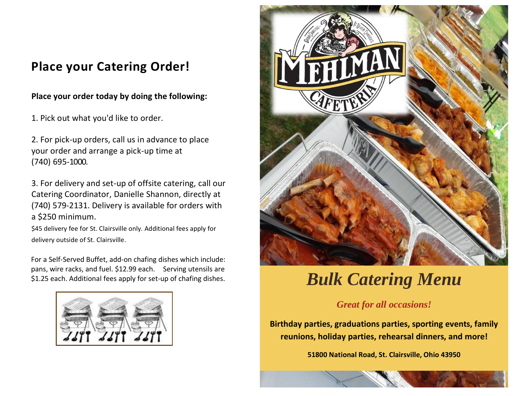# **Place your Catering Order!**

### **Place your order today by doing the following:**

1. Pick out what you'd like to order.

2. For pick-up orders, call us in advance to place your order and arrange a pick-up time at (740) 695-1000.

3. For delivery and set-up of offsite catering, call our Catering Coordinator, Danielle Shannon, directly at (740) 579-2131. Delivery is available for orders with a \$250 minimum.

\$45 delivery fee for St. Clairsville only. Additional fees apply for delivery outside of St. Clairsville.

For a Self-Served Buffet, add-on chafing dishes which include: pans, wire racks, and fuel. \$12.99 each. Serving utensils are \$1.25 each. Additional fees apply for set-up of chafing dishes.





# *Bulk Catering Menu*

## *Great for all occasions!*

**Birthday parties, graduations parties, sporting events, family reunions, holiday parties, rehearsal dinners, and more!**

**51800 National Road, St. Clairsville, Ohio 43950** 

**(740) 695-1000 Mehlman.com**